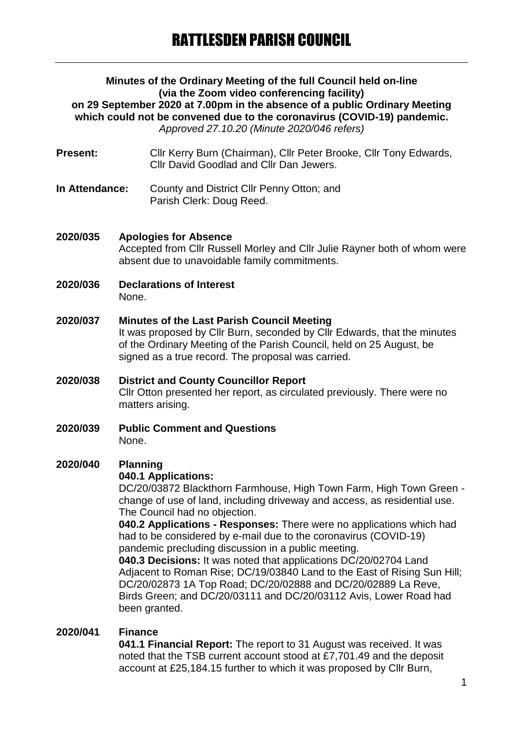#### **Minutes of the Ordinary Meeting of the full Council held on-line (via the Zoom video conferencing facility) on 29 September 2020 at 7.00pm in the absence of a public Ordinary Meeting which could not be convened due to the coronavirus (COVID-19) pandemic.** *Approved 27.10.20 (Minute 2020/046 refers)*

- Present: Cllr Kerry Burn (Chairman), Cllr Peter Brooke, Cllr Tony Edwards, Cllr David Goodlad and Cllr Dan Jewers.
- **In Attendance:** County and District Cllr Penny Otton; and Parish Clerk: Doug Reed.

## **2020/035 Apologies for Absence** Accepted from Cllr Russell Morley and Cllr Julie Rayner both of whom were absent due to unavoidable family commitments.

- **2020/036 Declarations of Interest** None.
- **2020/037 Minutes of the Last Parish Council Meeting** It was proposed by Cllr Burn, seconded by Cllr Edwards, that the minutes of the Ordinary Meeting of the Parish Council, held on 25 August, be signed as a true record. The proposal was carried.
- **2020/038 District and County Councillor Report** Cllr Otton presented her report, as circulated previously. There were no matters arising.
- **2020/039 Public Comment and Questions** None.

# **2020/040 Planning**

#### **040.1 Applications:**

DC/20/03872 Blackthorn Farmhouse, High Town Farm, High Town Green change of use of land, including driveway and access, as residential use. The Council had no objection.

**040.2 Applications - Responses:** There were no applications which had had to be considered by e-mail due to the coronavirus (COVID-19) pandemic precluding discussion in a public meeting.

**040.3 Decisions:** It was noted that applications DC/20/02704 Land Adjacent to Roman Rise; DC/19/03840 Land to the East of Rising Sun Hill; DC/20/02873 1A Top Road; DC/20/02888 and DC/20/02889 La Reve, Birds Green; and DC/20/03111 and DC/20/03112 Avis, Lower Road had been granted.

#### **2020/041 Finance**

**041.1 Financial Report:** The report to 31 August was received. It was noted that the TSB current account stood at £7,701.49 and the deposit account at £25,184.15 further to which it was proposed by Cllr Burn,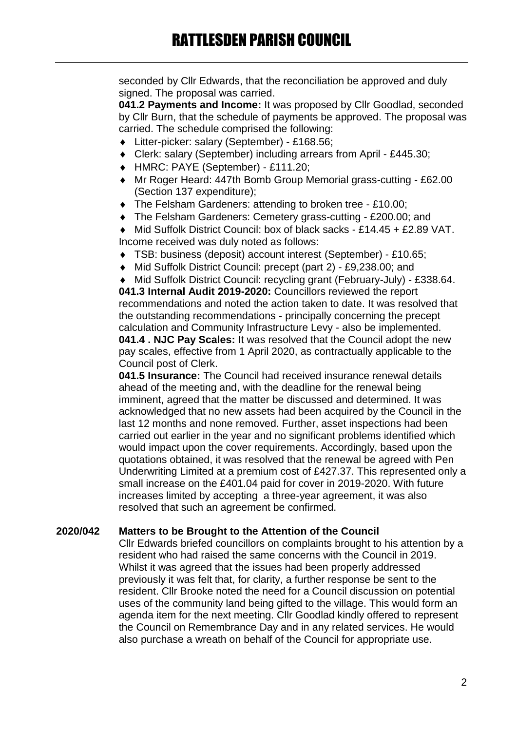seconded by Cllr Edwards, that the reconciliation be approved and duly signed. The proposal was carried.

**041.2 Payments and Income:** It was proposed by Cllr Goodlad, seconded by Cllr Burn, that the schedule of payments be approved. The proposal was carried. The schedule comprised the following:

- Litter-picker: salary (September) £168.56;
- Clerk: salary (September) including arrears from April £445.30;
- HMRC: PAYE (September) £111.20;
- Mr Roger Heard: 447th Bomb Group Memorial grass-cutting £62.00 (Section 137 expenditure);
- ◆ The Felsham Gardeners: attending to broken tree £10.00:
- The Felsham Gardeners: Cemetery grass-cutting £200.00; and
- ◆ Mid Suffolk District Council: box of black sacks £14.45 + £2.89 VAT. Income received was duly noted as follows:
- TSB: business (deposit) account interest (September) £10.65;
- Mid Suffolk District Council: precept (part 2) £9,238.00; and
- Mid Suffolk District Council: recycling grant (February-July) £338.64.

**041.3 Internal Audit 2019-2020:** Councillors reviewed the report recommendations and noted the action taken to date. It was resolved that the outstanding recommendations - principally concerning the precept calculation and Community Infrastructure Levy - also be implemented. **041.4 . NJC Pay Scales:** It was resolved that the Council adopt the new pay scales, effective from 1 April 2020, as contractually applicable to the Council post of Clerk.

**041.5 Insurance:** The Council had received insurance renewal details ahead of the meeting and, with the deadline for the renewal being imminent, agreed that the matter be discussed and determined. It was acknowledged that no new assets had been acquired by the Council in the last 12 months and none removed. Further, asset inspections had been carried out earlier in the year and no significant problems identified which would impact upon the cover requirements. Accordingly, based upon the quotations obtained, it was resolved that the renewal be agreed with Pen Underwriting Limited at a premium cost of £427.37. This represented only a small increase on the £401.04 paid for cover in 2019-2020. With future increases limited by accepting a three-year agreement, it was also resolved that such an agreement be confirmed.

#### **2020/042 Matters to be Brought to the Attention of the Council**

Cllr Edwards briefed councillors on complaints brought to his attention by a resident who had raised the same concerns with the Council in 2019. Whilst it was agreed that the issues had been properly addressed previously it was felt that, for clarity, a further response be sent to the resident. Cllr Brooke noted the need for a Council discussion on potential uses of the community land being gifted to the village. This would form an agenda item for the next meeting. Cllr Goodlad kindly offered to represent the Council on Remembrance Day and in any related services. He would also purchase a wreath on behalf of the Council for appropriate use.